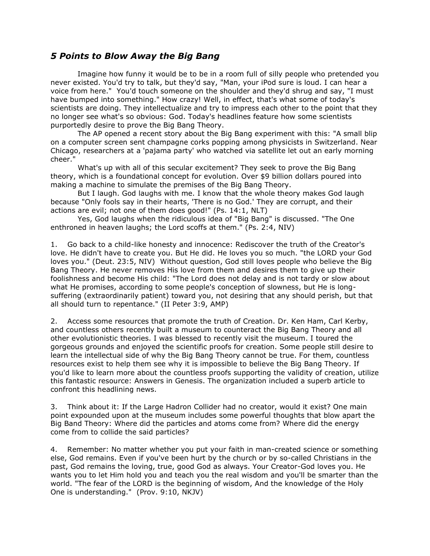## *5 Points to Blow Away the Big Bang*

 Imagine how funny it would be to be in a room full of silly people who pretended you never existed. You'd try to talk, but they'd say, "Man, your iPod sure is loud. I can hear a voice from here." You'd touch someone on the shoulder and they'd shrug and say, "I must have bumped into something." How crazy! Well, in effect, that's what some of today's scientists are doing. They intellectualize and try to impress each other to the point that they no longer see what's so obvious: God. Today's headlines feature how some scientists purportedly desire to prove the Big Bang Theory.

 The AP opened a recent story about the Big Bang experiment with this: "A small blip on a computer screen sent champagne corks popping among physicists in Switzerland. Near Chicago, researchers at a 'pajama party' who watched via satellite let out an early morning cheer."

 What's up with all of this secular excitement? They seek to prove the Big Bang theory, which is a foundational concept for evolution. Over \$9 billion dollars poured into making a machine to simulate the premises of the Big Bang Theory.

 But I laugh. God laughs with me. I know that the whole theory makes God laugh because "Only fools say in their hearts, 'There is no God.' They are corrupt, and their actions are evil; not one of them does good!" (Ps. 14:1, NLT)

 Yes, God laughs when the ridiculous idea of "Big Bang" is discussed. "The One enthroned in heaven laughs; the Lord scoffs at them." (Ps. 2:4, NIV)

1. Go back to a child-like honesty and innocence: Rediscover the truth of the Creator's love. He didn't have to create you. But He did. He loves you so much. "the LORD your God loves you." (Deut. 23:5, NIV) Without question, God still loves people who believe the Big Bang Theory. He never removes His love from them and desires them to give up their foolishness and become His child: "The Lord does not delay and is not tardy or slow about what He promises, according to some people's conception of slowness, but He is longsuffering (extraordinarily patient) toward you, not desiring that any should perish, but that all should turn to repentance." (II Peter 3:9, AMP)

2. Access some resources that promote the truth of Creation. Dr. Ken Ham, Carl Kerby, and countless others recently built a museum to counteract the Big Bang Theory and all other evolutionistic theories. I was blessed to recently visit the museum. I toured the gorgeous grounds and enjoyed the scientific proofs for creation. Some people still desire to learn the intellectual side of why the Big Bang Theory cannot be true. For them, countless resources exist to help them see why it is impossible to believe the Big Bang Theory. If you'd like to learn more about the countless proofs supporting the validity of creation, utilize this fantastic resource: Answers in Genesis. The organization included a superb article to confront this headlining news.

3. Think about it: If the Large Hadron Collider had no creator, would it exist? One main point expounded upon at the museum includes some powerful thoughts that blow apart the Big Band Theory: Where did the particles and atoms come from? Where did the energy come from to collide the said particles?

4. Remember: No matter whether you put your faith in man-created science or something else, God remains. Even if you've been hurt by the church or by so-called Christians in the past, God remains the loving, true, good God as always. Your Creator-God loves you. He wants you to let Him hold you and teach you the real wisdom and you'll be smarter than the world. "The fear of the LORD is the beginning of wisdom, And the knowledge of the Holy One is understanding." (Prov. 9:10, NKJV)